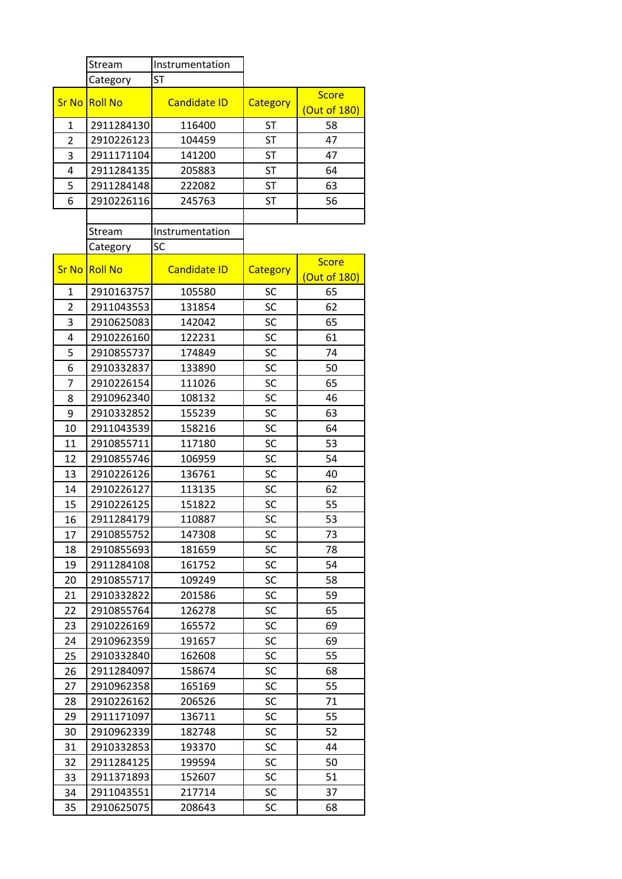|                | Stream         | Instrumentation     |           |                              |
|----------------|----------------|---------------------|-----------|------------------------------|
|                | Category       | <b>ST</b>           |           |                              |
| <b>Sr No</b>   | <b>Roll No</b> | <b>Candidate ID</b> | Category  | <b>Score</b><br>(Out of 180) |
| $\mathbf{1}$   | 2911284130     | 116400              | <b>ST</b> | 58                           |
| 2              | 2910226123     | 104459              | <b>ST</b> | 47                           |
| 3              | 2911171104     | 141200              | <b>ST</b> | 47                           |
| 4              | 2911284135     | 205883              | <b>ST</b> | 64                           |
| 5              | 2911284148     | 222082              | <b>ST</b> | 63                           |
| 6              | 2910226116     | 245763              | <b>ST</b> | 56                           |
|                |                |                     |           |                              |
|                | Stream         | Instrumentation     |           |                              |
|                | Category       | SC                  |           |                              |
| <b>Sr No</b>   |                |                     |           | <b>Score</b>                 |
|                | <b>Roll No</b> | <b>Candidate ID</b> | Category  | (Out of 180)                 |
| 1              | 2910163757     | 105580              | SC        | 65                           |
| $\overline{2}$ | 2911043553     | 131854              | SC        | 62                           |
| 3              | 2910625083     | 142042              | SC        | 65                           |
| 4              | 2910226160     | 122231              | SC        | 61                           |
| 5              | 2910855737     | 174849              | SC        | 74                           |
| 6              | 2910332837     | 133890              | SC        | 50                           |
| 7              | 2910226154     | 111026              | SC        | 65                           |
| 8              | 2910962340     | 108132              | SC        | 46                           |
| 9              | 2910332852     | 155239              | SC        | 63                           |
| 10             | 2911043539     | 158216              | SC        | 64                           |
| 11             | 2910855711     | 117180              | SC        | 53                           |
| 12             | 2910855746     | 106959              | SC        | 54                           |
| 13             | 2910226126     | 136761              | SC        | 40                           |
| 14             | 2910226127     | 113135              | SC        | 62                           |
| 15             | 2910226125     | 151822              | <b>SC</b> | 55                           |
| 16             | 2911284179     | 110887              | SC        | 53                           |
| 17             | 2910855752     | 147308              | SC        | 73                           |
| 18             | 2910855693     | 181659              | SC        | 78                           |
| 19             | 2911284108     | 161752              | SC        | 54                           |
| 20             | 2910855717     | 109249              | SC        | 58                           |
| 21             | 2910332822     | 201586              | SC        | 59                           |
| 22             | 2910855764     | 126278              | SC        | 65                           |
| 23             | 2910226169     | 165572              | SC        | 69                           |
| 24             | 2910962359     | 191657              | SC        | 69                           |
| 25             | 2910332840     | 162608              | SC        | 55                           |
| 26             | 2911284097     | 158674              | SC        | 68                           |
| 27             | 2910962358     | 165169              | SC        | 55                           |
| 28             | 2910226162     | 206526              | SC        | 71                           |
| 29             | 2911171097     | 136711              | SC        | 55                           |
| 30             | 2910962339     | 182748              | SC        | 52                           |
| 31             | 2910332853     | 193370              | SC        | 44                           |
| 32             | 2911284125     | 199594              | SC        | 50                           |
| 33             | 2911371893     | 152607              | SC        | 51                           |
| 34             | 2911043551     | 217714              | SC        | 37                           |
| 35             | 2910625075     | 208643              | SC        | 68                           |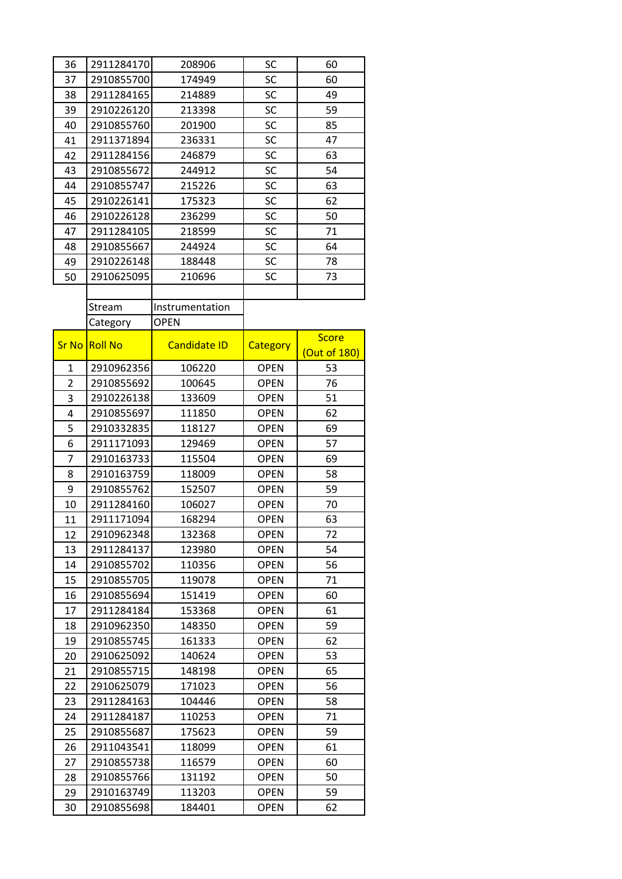| 36             | 2911284170     | 208906              | SC          | 60           |
|----------------|----------------|---------------------|-------------|--------------|
| 37             | 2910855700     | 174949              | SC          | 60           |
| 38             | 2911284165     | 214889              | SC          | 49           |
| 39             | 2910226120     | 213398              | SC          | 59           |
| 40             | 2910855760     | 201900              | SC          | 85           |
| 41             | 2911371894     | 236331              | SC          | 47           |
| 42             | 2911284156     | 246879              | SC          | 63           |
| 43             | 2910855672     | 244912              | SC          | 54           |
| 44             | 2910855747     | 215226              | SC          | 63           |
| 45             | 2910226141     | 175323              | SC          | 62           |
| 46             | 2910226128     | 236299              | SC          | 50           |
| 47             | 2911284105     | 218599              | SC          | 71           |
| 48             | 2910855667     | 244924              | SC          | 64           |
| 49             | 2910226148     | 188448              | SC          | 78           |
| 50             | 2910625095     | 210696              | SC          | 73           |
|                |                |                     |             |              |
|                | Stream         | Instrumentation     |             |              |
|                | Category       | <b>OPEN</b>         |             |              |
|                |                |                     |             | <b>Score</b> |
| <b>Sr No</b>   | <b>Roll No</b> | <b>Candidate ID</b> | Category    | (Out of 180) |
| 1              | 2910962356     | 106220              | <b>OPEN</b> | 53           |
| $\overline{2}$ | 2910855692     | 100645              | <b>OPEN</b> | 76           |
| 3              | 2910226138     | 133609              | <b>OPEN</b> | 51           |
| 4              | 2910855697     | 111850              | <b>OPEN</b> | 62           |
| 5              | 2910332835     | 118127              | <b>OPEN</b> | 69           |
| 6              | 2911171093     | 129469              | <b>OPEN</b> | 57           |
| 7              | 2910163733     | 115504              | <b>OPEN</b> | 69           |
| 8              | 2910163759     | 118009              | <b>OPEN</b> | 58           |
| 9              | 2910855762     | 152507              | <b>OPEN</b> | 59           |
| 10             | 2911284160     | 106027              | <b>OPEN</b> | 70           |
| 11             | 2911171094     | 168294              | <b>OPEN</b> | 63           |
| 12             | 2910962348     | 132368              | <b>OPEN</b> | 72           |
| 13             | 2911284137     | 123980              | <b>OPEN</b> | 54           |
| 14             | 2910855702     | 110356              | <b>OPEN</b> | 56           |
| 15             | 2910855705     | 119078              | <b>OPEN</b> | 71           |
| 16             | 2910855694     | 151419              | <b>OPEN</b> | 60           |
| 17             | 2911284184     | 153368              | <b>OPEN</b> | 61           |
| 18             | 2910962350     | 148350              | <b>OPEN</b> | 59           |
| 19             | 2910855745     | 161333              | <b>OPEN</b> | 62           |
| 20             | 2910625092     | 140624              | <b>OPEN</b> | 53           |
| 21             | 2910855715     | 148198              | <b>OPEN</b> | 65           |
| 22             | 2910625079     | 171023              | <b>OPEN</b> | 56           |
| 23             | 2911284163     | 104446              | <b>OPEN</b> | 58           |
| 24             | 2911284187     | 110253              | <b>OPEN</b> | 71           |
| 25             | 2910855687     | 175623              | <b>OPEN</b> | 59           |
| 26             | 2911043541     | 118099              | <b>OPEN</b> | 61           |
| 27             | 2910855738     | 116579              | <b>OPEN</b> | 60           |
| 28             | 2910855766     | 131192              | <b>OPEN</b> | 50           |
| 29             | 2910163749     | 113203              | <b>OPEN</b> | 59           |
| 30             | 2910855698     | 184401              | <b>OPEN</b> | 62           |
|                |                |                     |             |              |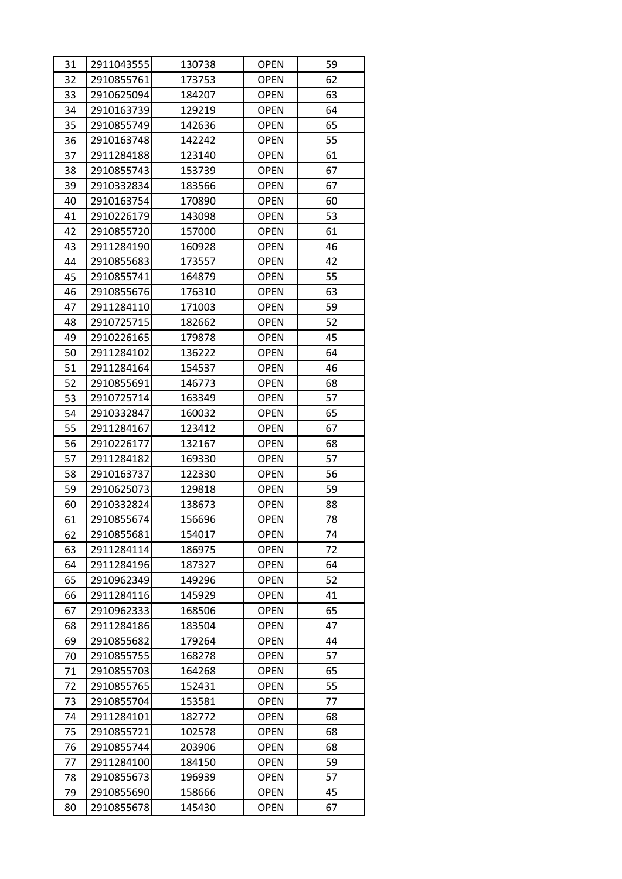| 31 | 2911043555 | 130738 | <b>OPEN</b> | 59 |
|----|------------|--------|-------------|----|
| 32 | 2910855761 | 173753 | <b>OPEN</b> | 62 |
| 33 | 2910625094 | 184207 | <b>OPEN</b> | 63 |
| 34 | 2910163739 | 129219 | <b>OPEN</b> | 64 |
| 35 | 2910855749 | 142636 | <b>OPEN</b> | 65 |
| 36 | 2910163748 | 142242 | <b>OPEN</b> | 55 |
| 37 | 2911284188 | 123140 | <b>OPEN</b> | 61 |
| 38 | 2910855743 | 153739 | <b>OPEN</b> | 67 |
| 39 | 2910332834 | 183566 | <b>OPEN</b> | 67 |
| 40 | 2910163754 | 170890 | <b>OPEN</b> | 60 |
| 41 | 2910226179 | 143098 | <b>OPEN</b> | 53 |
| 42 | 2910855720 | 157000 | <b>OPEN</b> | 61 |
| 43 | 2911284190 | 160928 | <b>OPEN</b> | 46 |
| 44 | 2910855683 | 173557 | <b>OPEN</b> | 42 |
| 45 | 2910855741 | 164879 | <b>OPEN</b> | 55 |
| 46 | 2910855676 | 176310 | <b>OPEN</b> | 63 |
| 47 | 2911284110 | 171003 | <b>OPEN</b> | 59 |
| 48 | 2910725715 | 182662 | <b>OPEN</b> | 52 |
| 49 | 2910226165 | 179878 | <b>OPEN</b> | 45 |
| 50 | 2911284102 | 136222 | <b>OPEN</b> | 64 |
| 51 | 2911284164 | 154537 | <b>OPEN</b> | 46 |
| 52 | 2910855691 | 146773 | <b>OPEN</b> | 68 |
| 53 | 2910725714 | 163349 | <b>OPEN</b> | 57 |
| 54 | 2910332847 | 160032 | <b>OPEN</b> | 65 |
| 55 | 2911284167 | 123412 | <b>OPEN</b> | 67 |
| 56 | 2910226177 | 132167 | <b>OPEN</b> | 68 |
| 57 | 2911284182 | 169330 | <b>OPEN</b> | 57 |
| 58 | 2910163737 | 122330 | <b>OPEN</b> | 56 |
| 59 | 2910625073 | 129818 | <b>OPEN</b> | 59 |
| 60 | 2910332824 | 138673 | <b>OPEN</b> | 88 |
| 61 | 2910855674 | 156696 | <b>OPEN</b> | 78 |
| 62 | 2910855681 | 154017 | <b>OPEN</b> | 74 |
| 63 | 2911284114 | 186975 | <b>OPEN</b> | 72 |
| 64 | 2911284196 | 187327 | <b>OPEN</b> | 64 |
| 65 | 2910962349 | 149296 | <b>OPEN</b> | 52 |
| 66 | 2911284116 | 145929 | <b>OPEN</b> | 41 |
| 67 | 2910962333 | 168506 | <b>OPEN</b> | 65 |
| 68 | 2911284186 | 183504 | <b>OPEN</b> | 47 |
| 69 | 2910855682 | 179264 | <b>OPEN</b> | 44 |
| 70 | 2910855755 | 168278 | <b>OPEN</b> | 57 |
| 71 | 2910855703 | 164268 | <b>OPEN</b> | 65 |
| 72 | 2910855765 | 152431 | <b>OPEN</b> | 55 |
| 73 | 2910855704 | 153581 | <b>OPEN</b> | 77 |
| 74 | 2911284101 | 182772 | <b>OPEN</b> | 68 |
| 75 | 2910855721 | 102578 | <b>OPEN</b> | 68 |
| 76 | 2910855744 | 203906 | <b>OPEN</b> | 68 |
| 77 | 2911284100 | 184150 | <b>OPEN</b> | 59 |
| 78 | 2910855673 | 196939 | <b>OPEN</b> | 57 |
| 79 | 2910855690 | 158666 | <b>OPEN</b> | 45 |
| 80 | 2910855678 | 145430 | <b>OPEN</b> | 67 |
|    |            |        |             |    |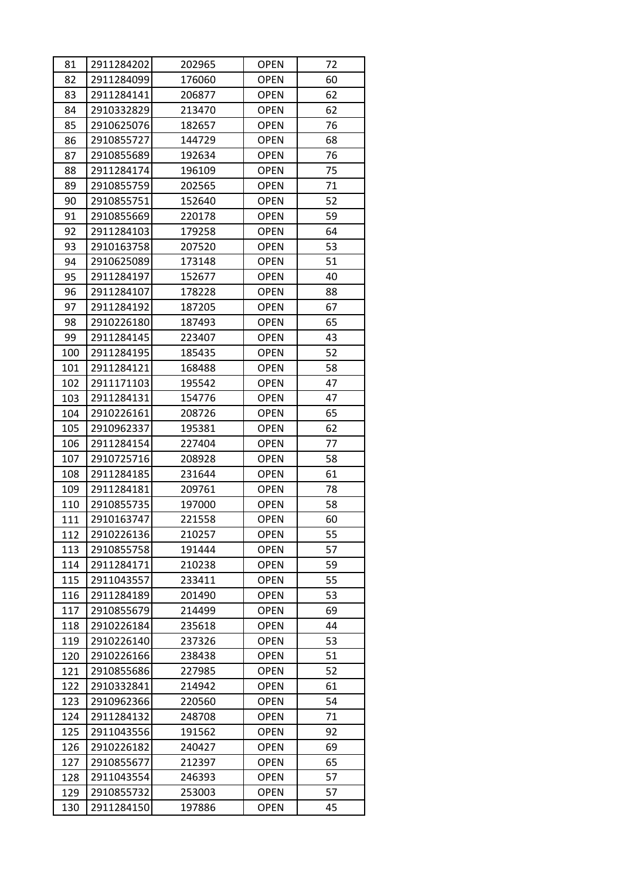| 81  | 2911284202 | 202965 | <b>OPEN</b> | 72 |
|-----|------------|--------|-------------|----|
| 82  | 2911284099 | 176060 | <b>OPEN</b> | 60 |
| 83  | 2911284141 | 206877 | <b>OPEN</b> | 62 |
| 84  | 2910332829 | 213470 | <b>OPEN</b> | 62 |
| 85  | 2910625076 | 182657 | <b>OPEN</b> | 76 |
| 86  | 2910855727 | 144729 | <b>OPEN</b> | 68 |
| 87  | 2910855689 | 192634 | <b>OPEN</b> | 76 |
| 88  | 2911284174 | 196109 | <b>OPEN</b> | 75 |
| 89  | 2910855759 | 202565 | <b>OPEN</b> | 71 |
| 90  | 2910855751 | 152640 | <b>OPEN</b> | 52 |
| 91  | 2910855669 | 220178 | <b>OPEN</b> | 59 |
| 92  | 2911284103 | 179258 | <b>OPEN</b> | 64 |
| 93  | 2910163758 | 207520 | <b>OPEN</b> | 53 |
| 94  | 2910625089 | 173148 | <b>OPEN</b> | 51 |
| 95  | 2911284197 | 152677 | <b>OPEN</b> | 40 |
| 96  | 2911284107 | 178228 | <b>OPEN</b> | 88 |
| 97  | 2911284192 | 187205 | <b>OPEN</b> | 67 |
| 98  | 2910226180 | 187493 | <b>OPEN</b> | 65 |
| 99  | 2911284145 | 223407 | <b>OPEN</b> | 43 |
| 100 | 2911284195 | 185435 | <b>OPEN</b> | 52 |
| 101 | 2911284121 | 168488 | <b>OPEN</b> | 58 |
| 102 | 2911171103 | 195542 | <b>OPEN</b> | 47 |
| 103 | 2911284131 | 154776 | <b>OPEN</b> | 47 |
| 104 | 2910226161 | 208726 | <b>OPEN</b> | 65 |
| 105 | 2910962337 | 195381 | <b>OPEN</b> | 62 |
| 106 | 2911284154 | 227404 | <b>OPEN</b> | 77 |
| 107 | 2910725716 | 208928 | <b>OPEN</b> | 58 |
| 108 | 2911284185 | 231644 | <b>OPEN</b> | 61 |
| 109 | 2911284181 | 209761 | <b>OPEN</b> | 78 |
| 110 | 2910855735 | 197000 | <b>OPEN</b> | 58 |
| 111 | 2910163747 | 221558 | <b>OPEN</b> | 60 |
| 112 | 2910226136 | 210257 | <b>OPEN</b> | 55 |
| 113 | 2910855758 | 191444 | <b>OPEN</b> | 57 |
| 114 | 2911284171 | 210238 | <b>OPEN</b> | 59 |
| 115 | 2911043557 | 233411 | <b>OPEN</b> | 55 |
| 116 | 2911284189 | 201490 | <b>OPEN</b> | 53 |
| 117 | 2910855679 | 214499 | <b>OPEN</b> | 69 |
| 118 | 2910226184 | 235618 | <b>OPEN</b> | 44 |
| 119 | 2910226140 | 237326 | <b>OPEN</b> | 53 |
| 120 | 2910226166 | 238438 | <b>OPEN</b> | 51 |
| 121 | 2910855686 | 227985 | <b>OPEN</b> | 52 |
| 122 | 2910332841 | 214942 | <b>OPEN</b> | 61 |
| 123 | 2910962366 | 220560 | <b>OPEN</b> | 54 |
| 124 | 2911284132 | 248708 | <b>OPEN</b> | 71 |
| 125 | 2911043556 | 191562 | <b>OPEN</b> | 92 |
| 126 | 2910226182 | 240427 | <b>OPEN</b> | 69 |
| 127 | 2910855677 | 212397 | <b>OPEN</b> | 65 |
| 128 | 2911043554 | 246393 | <b>OPEN</b> | 57 |
| 129 | 2910855732 | 253003 | <b>OPEN</b> | 57 |
| 130 | 2911284150 | 197886 | <b>OPEN</b> | 45 |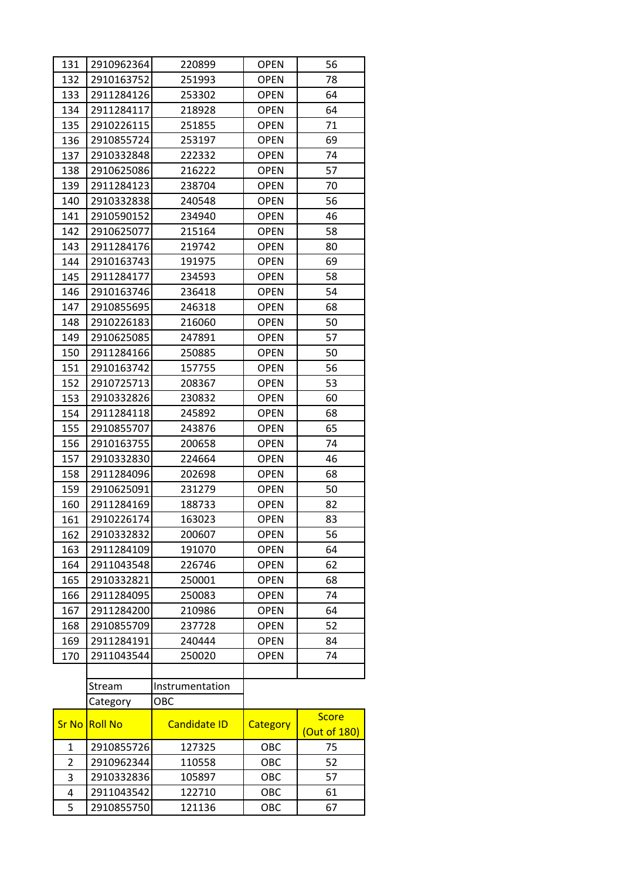| 131            | 2910962364     | 220899              | <b>OPEN</b> | 56                           |
|----------------|----------------|---------------------|-------------|------------------------------|
| 132            | 2910163752     | 251993              | <b>OPEN</b> | 78                           |
| 133            | 2911284126     | 253302              | <b>OPEN</b> | 64                           |
| 134            | 2911284117     | 218928              | <b>OPEN</b> | 64                           |
| 135            | 2910226115     | 251855              | <b>OPEN</b> | 71                           |
| 136            | 2910855724     | 253197              | <b>OPEN</b> | 69                           |
| 137            | 2910332848     | 222332              | <b>OPEN</b> | 74                           |
| 138            | 2910625086     | 216222              | <b>OPEN</b> | 57                           |
| 139            | 2911284123     | 238704              | <b>OPEN</b> | 70                           |
| 140            | 2910332838     | 240548              | <b>OPEN</b> | 56                           |
| 141            | 2910590152     | 234940              | <b>OPEN</b> | 46                           |
| 142            | 2910625077     | 215164              | <b>OPEN</b> | 58                           |
| 143            | 2911284176     | 219742              | <b>OPEN</b> | 80                           |
| 144            | 2910163743     | 191975              | <b>OPEN</b> | 69                           |
| 145            | 2911284177     | 234593              | <b>OPEN</b> | 58                           |
| 146            | 2910163746     | 236418              | <b>OPEN</b> | 54                           |
| 147            | 2910855695     | 246318              | <b>OPEN</b> | 68                           |
| 148            | 2910226183     | 216060              | <b>OPEN</b> | 50                           |
| 149            | 2910625085     | 247891              | <b>OPEN</b> | 57                           |
| 150            | 2911284166     | 250885              | <b>OPEN</b> | 50                           |
| 151            | 2910163742     | 157755              | <b>OPEN</b> | 56                           |
| 152            | 2910725713     | 208367              | <b>OPEN</b> | 53                           |
| 153            | 2910332826     | 230832              | <b>OPEN</b> | 60                           |
| 154            | 2911284118     | 245892              | <b>OPEN</b> | 68                           |
| 155            | 2910855707     | 243876              | <b>OPEN</b> | 65                           |
| 156            | 2910163755     | 200658              | <b>OPEN</b> | 74                           |
| 157            | 2910332830     | 224664              | <b>OPEN</b> | 46                           |
| 158            | 2911284096     | 202698              | <b>OPEN</b> | 68                           |
| 159            | 2910625091     | 231279              | <b>OPEN</b> | 50                           |
| 160            | 2911284169     | 188733              | <b>OPEN</b> | 82                           |
| 161            | 2910226174     | 163023              | <b>OPEN</b> | 83                           |
| 162            | 2910332832     | 200607              | <b>OPEN</b> | 56                           |
| 163            | 2911284109     | 191070              | <b>OPEN</b> | 64                           |
| 164            | 2911043548     | 226746              | <b>OPEN</b> | 62                           |
| 165            | 2910332821     | 250001              | <b>OPEN</b> | 68                           |
| 166            | 2911284095     | 250083              | <b>OPEN</b> | 74                           |
| 167            | 2911284200     | 210986              | <b>OPEN</b> | 64                           |
| 168            | 2910855709     | 237728              | <b>OPEN</b> | 52                           |
| 169            | 2911284191     | 240444              | <b>OPEN</b> | 84                           |
| 170            | 2911043544     | 250020              | <b>OPEN</b> | 74                           |
|                |                |                     |             |                              |
|                | Stream         | Instrumentation     |             |                              |
|                | Category       | OBC                 |             |                              |
| <b>Sr No</b>   | <b>Roll No</b> | <b>Candidate ID</b> | Category    | <b>Score</b><br>(Out of 180) |
| 1              | 2910855726     | 127325              | OBC         | 75                           |
| $\overline{2}$ | 2910962344     | 110558              | OBC         | 52                           |
| 3              | 2910332836     | 105897              | OBC         | 57                           |
| 4              | 2911043542     | 122710              | OBC         | 61                           |
| 5              | 2910855750     | 121136              | OBC         | 67                           |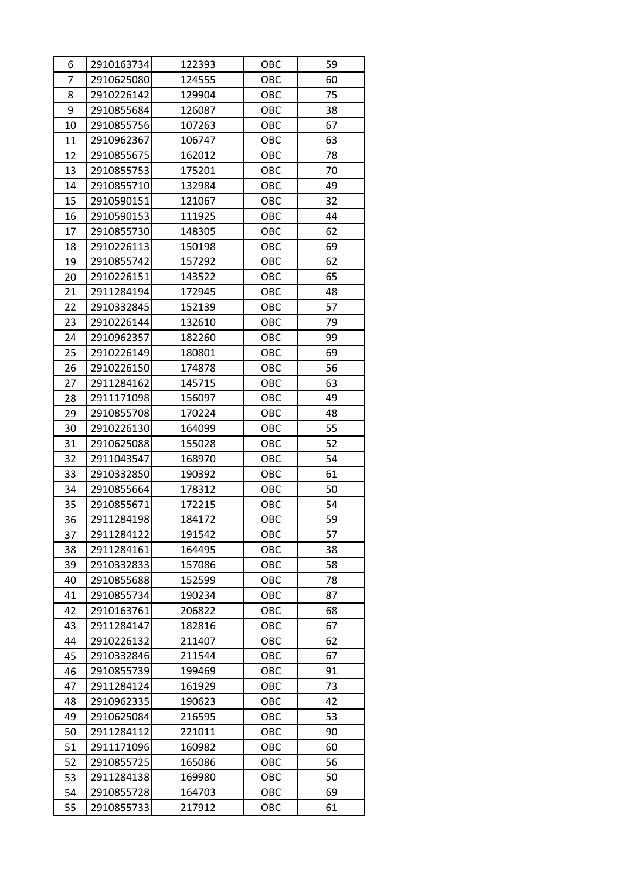| 6              | 2910163734 | 122393 | OBC | 59 |
|----------------|------------|--------|-----|----|
| $\overline{7}$ | 2910625080 | 124555 | OBC | 60 |
| 8              | 2910226142 | 129904 | OBC | 75 |
| 9              | 2910855684 | 126087 | OBC | 38 |
| 10             | 2910855756 | 107263 | OBC | 67 |
| 11             | 2910962367 | 106747 | OBC | 63 |
| 12             | 2910855675 | 162012 | OBC | 78 |
| 13             | 2910855753 | 175201 | OBC | 70 |
| 14             | 2910855710 | 132984 | OBC | 49 |
| 15             | 2910590151 | 121067 | OBC | 32 |
| 16             | 2910590153 | 111925 | OBC | 44 |
| 17             | 2910855730 | 148305 | OBC | 62 |
| 18             | 2910226113 | 150198 | OBC | 69 |
| 19             | 2910855742 | 157292 | OBC | 62 |
| 20             | 2910226151 | 143522 | OBC | 65 |
| 21             | 2911284194 | 172945 | OBC | 48 |
| 22             | 2910332845 | 152139 | OBC | 57 |
| 23             | 2910226144 | 132610 | OBC | 79 |
| 24             | 2910962357 | 182260 | OBC | 99 |
| 25             | 2910226149 | 180801 | OBC | 69 |
| 26             | 2910226150 | 174878 | OBC | 56 |
| 27             | 2911284162 | 145715 | OBC | 63 |
| 28             | 2911171098 | 156097 | OBC | 49 |
| 29             | 2910855708 | 170224 | OBC | 48 |
| 30             | 2910226130 | 164099 | OBC | 55 |
| 31             | 2910625088 | 155028 | OBC | 52 |
| 32             | 2911043547 | 168970 | OBC | 54 |
| 33             | 2910332850 | 190392 | OBC | 61 |
| 34             | 2910855664 | 178312 | OBC | 50 |
| 35             | 2910855671 | 172215 | OBC | 54 |
| 36             | 2911284198 | 184172 | OBC | 59 |
| 37             | 2911284122 | 191542 | OBC | 57 |
| 38             | 2911284161 | 164495 | OBC | 38 |
| 39             | 2910332833 | 157086 | OBC | 58 |
| 40             | 2910855688 | 152599 | OBC | 78 |
| 41             | 2910855734 | 190234 | OBC | 87 |
| 42             | 2910163761 | 206822 | OBC | 68 |
| 43             | 2911284147 | 182816 | OBC | 67 |
| 44             | 2910226132 | 211407 | OBC | 62 |
| 45             | 2910332846 | 211544 | OBC | 67 |
| 46             | 2910855739 | 199469 | OBC | 91 |
| 47             | 2911284124 | 161929 | OBC | 73 |
| 48             | 2910962335 | 190623 | OBC | 42 |
| 49             | 2910625084 | 216595 | OBC | 53 |
| 50             | 2911284112 | 221011 | OBC | 90 |
| 51             | 2911171096 | 160982 | OBC | 60 |
| 52             | 2910855725 | 165086 | OBC | 56 |
| 53             | 2911284138 | 169980 | OBC | 50 |
| 54             | 2910855728 | 164703 | OBC | 69 |
| 55             | 2910855733 | 217912 | OBC | 61 |